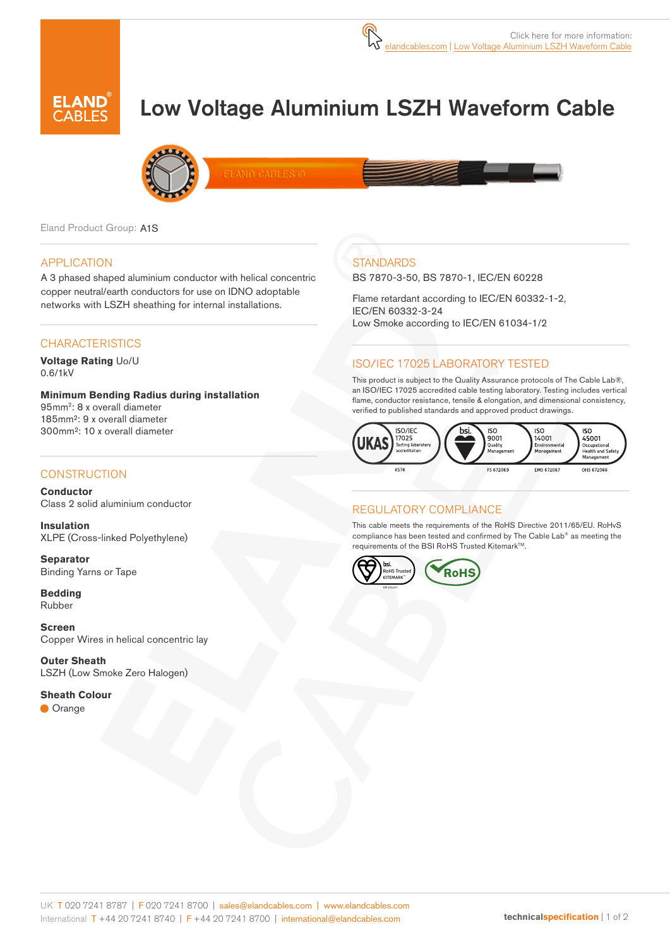

# Low Voltage Aluminium LSZH Waveform Cable



**LAND CABLES** 

Eland Product Group: A1S

#### APPLICATION

A 3 phased shaped aluminium conductor with helical concentric copper neutral/earth conductors for use on IDNO adoptable networks with LSZH sheathing for internal installations.

#### **CHARACTERISTICS**

**Voltage Rating** Uo/U 0.6/1kV

**Minimum Bending Radius during installation**  95mm2: 8 x overall diameter 185mm²: 9 x overall diameter 300mm²: 10 x overall diameter

#### **CONSTRUCTION**

**Conductor** Class 2 solid aluminium conductor

**Insulation** XLPE (Cross-linked Polyethylene)

**Separator** Binding Yarns or Tape

**Bedding** Rubber

**Screen** Copper Wires in helical concentric lay

**Outer Sheath** LSZH (Low Smoke Zero Halogen)

**Sheath Colour Orange** 

## **STANDARDS**

BS 7870-3-50, BS 7870-1, IEC/EN 60228

Flame retardant according to IEC/EN 60332-1-2, IEC/EN 60332-3-24 Low Smoke according to IEC/EN 61034-1/2

#### ISO/IEC 17025 LABORATORY TESTED

This product is subject to the Quality Assurance protocols of The Cable Lab®, an ISO/IEC 17025 accredited cable testing laboratory. Testing includes vertical flame, conductor resistance, tensile & elongation, and dimensional consistency, verified to published standards and approved product drawings.



#### REGULATORY COMPLIANCE

This cable meets the requirements of the RoHS Directive 2011/65/EU. RoHvS compliance has been tested and confirmed by The Cable Lab® as meeting the requirements of the BSI RoHS Trusted Kitemark™.